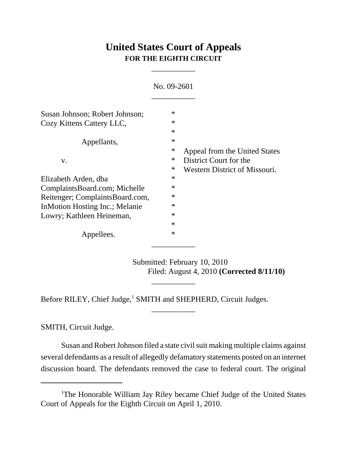# **United States Court of Appeals FOR THE EIGHTH CIRCUIT**

\_\_\_\_\_\_\_\_\_\_\_

| No. 09-2601                     |        |                               |
|---------------------------------|--------|-------------------------------|
| Susan Johnson; Robert Johnson;  | $\ast$ |                               |
| Cozy Kittens Cattery LLC,       | $\ast$ |                               |
|                                 | $\ast$ |                               |
| Appellants,                     | $\ast$ |                               |
|                                 | ∗      | Appeal from the United States |
| V.                              | ∗      | District Court for the        |
|                                 | ∗      | Western District of Missouri. |
| Elizabeth Arden, dba            | $\ast$ |                               |
| ComplaintsBoard.com; Michelle   | $\ast$ |                               |
| Reitenger; ComplaintsBoard.com, | $\ast$ |                               |
| In Motion Hosting Inc.; Melanie | $\ast$ |                               |
| Lowry; Kathleen Heineman,       | $\ast$ |                               |
|                                 | $\ast$ |                               |
| Appellees.                      | $\ast$ |                               |

Submitted: February 10, 2010 Filed: August 4, 2010 **(Corrected 8/11/10)**

Before RILEY, Chief Judge,<sup>1</sup> SMITH and SHEPHERD, Circuit Judges.

SMITH, Circuit Judge.

Susan and Robert Johnson filed a state civil suit making multiple claims against several defendants as a result of allegedly defamatory statements posted on an internet discussion board. The defendants removed the case to federal court. The original

\_\_\_\_\_\_\_\_\_\_\_

\_\_\_\_\_\_\_\_\_\_\_

<sup>&</sup>lt;sup>1</sup>The Honorable William Jay Riley became Chief Judge of the United States Court of Appeals for the Eighth Circuit on April 1, 2010.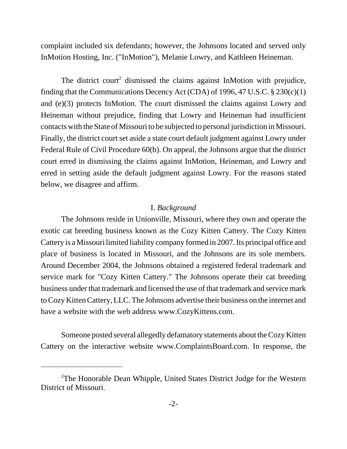complaint included six defendants; however, the Johnsons located and served only InMotion Hosting, Inc. ("InMotion"), Melanie Lowry, and Kathleen Heineman.

The district court<sup>2</sup> dismissed the claims against InMotion with prejudice, finding that the Communications Decency Act (CDA) of 1996, 47 U.S.C.  $\S 230(c)(1)$ and (e)(3) protects InMotion. The court dismissed the claims against Lowry and Heineman without prejudice, finding that Lowry and Heineman had insufficient contacts with the State of Missouri to be subjected to personal jurisdiction in Missouri. Finally, the district court set aside a state court default judgment against Lowry under Federal Rule of Civil Procedure 60(b). On appeal, the Johnsons argue that the district court erred in dismissing the claims against InMotion, Heineman, and Lowry and erred in setting aside the default judgment against Lowry. For the reasons stated below, we disagree and affirm.

#### I. *Background*

The Johnsons reside in Unionville, Missouri, where they own and operate the exotic cat breeding business known as the Cozy Kitten Cattery. The Cozy Kitten Cattery is a Missouri limited liability company formed in 2007. Its principal office and place of business is located in Missouri, and the Johnsons are its sole members. Around December 2004, the Johnsons obtained a registered federal trademark and service mark for "Cozy Kitten Cattery." The Johnsons operate their cat breeding business under that trademark and licensed the use of that trademark and service mark to Cozy Kitten Cattery, LLC. The Johnsons advertise their business on the internet and have a website with the web address www.CozyKittens.com.

Someone posted several allegedly defamatory statements about the Cozy Kitten Cattery on the interactive website www.ComplaintsBoard.com. In response, the

<sup>&</sup>lt;sup>2</sup>The Honorable Dean Whipple, United States District Judge for the Western District of Missouri.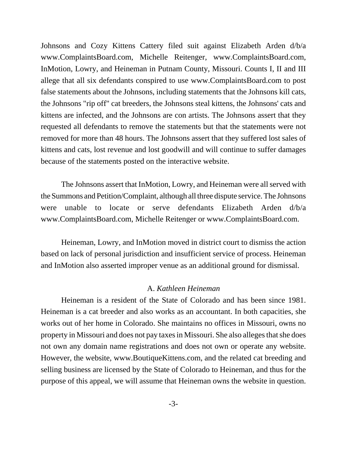Johnsons and Cozy Kittens Cattery filed suit against Elizabeth Arden d/b/a www.ComplaintsBoard.com, Michelle Reitenger, www.ComplaintsBoard.com, InMotion, Lowry, and Heineman in Putnam County, Missouri. Counts I, II and III allege that all six defendants conspired to use www.ComplaintsBoard.com to post false statements about the Johnsons, including statements that the Johnsons kill cats, the Johnsons "rip off" cat breeders, the Johnsons steal kittens, the Johnsons' cats and kittens are infected, and the Johnsons are con artists. The Johnsons assert that they requested all defendants to remove the statements but that the statements were not removed for more than 48 hours. The Johnsons assert that they suffered lost sales of kittens and cats, lost revenue and lost goodwill and will continue to suffer damages because of the statements posted on the interactive website.

The Johnsons assert that InMotion, Lowry, and Heineman were all served with the Summons and Petition/Complaint, although all three dispute service. The Johnsons were unable to locate or serve defendants Elizabeth Arden d/b/a www.ComplaintsBoard.com, Michelle Reitenger or www.ComplaintsBoard.com.

Heineman, Lowry, and InMotion moved in district court to dismiss the action based on lack of personal jurisdiction and insufficient service of process. Heineman and InMotion also asserted improper venue as an additional ground for dismissal.

### A. *Kathleen Heineman*

Heineman is a resident of the State of Colorado and has been since 1981. Heineman is a cat breeder and also works as an accountant. In both capacities, she works out of her home in Colorado. She maintains no offices in Missouri, owns no property in Missouri and does not pay taxes in Missouri. She also alleges that she does not own any domain name registrations and does not own or operate any website. However, the website, www.BoutiqueKittens.com, and the related cat breeding and selling business are licensed by the State of Colorado to Heineman, and thus for the purpose of this appeal, we will assume that Heineman owns the website in question.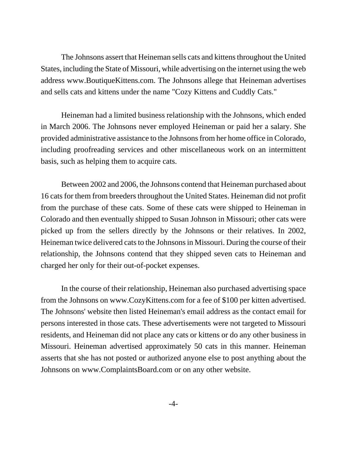The Johnsons assert that Heineman sells cats and kittens throughout the United States, including the State of Missouri, while advertising on the internet using the web address www.BoutiqueKittens.com. The Johnsons allege that Heineman advertises and sells cats and kittens under the name "Cozy Kittens and Cuddly Cats."

Heineman had a limited business relationship with the Johnsons, which ended in March 2006. The Johnsons never employed Heineman or paid her a salary. She provided administrative assistance to the Johnsons from her home office in Colorado, including proofreading services and other miscellaneous work on an intermittent basis, such as helping them to acquire cats.

Between 2002 and 2006, the Johnsons contend that Heineman purchased about 16 cats for them from breeders throughout the United States. Heineman did not profit from the purchase of these cats. Some of these cats were shipped to Heineman in Colorado and then eventually shipped to Susan Johnson in Missouri; other cats were picked up from the sellers directly by the Johnsons or their relatives. In 2002, Heineman twice delivered cats to the Johnsons in Missouri. During the course of their relationship, the Johnsons contend that they shipped seven cats to Heineman and charged her only for their out-of-pocket expenses.

In the course of their relationship, Heineman also purchased advertising space from the Johnsons on www.CozyKittens.com for a fee of \$100 per kitten advertised. The Johnsons' website then listed Heineman's email address as the contact email for persons interested in those cats. These advertisements were not targeted to Missouri residents, and Heineman did not place any cats or kittens or do any other business in Missouri. Heineman advertised approximately 50 cats in this manner. Heineman asserts that she has not posted or authorized anyone else to post anything about the Johnsons on www.ComplaintsBoard.com or on any other website.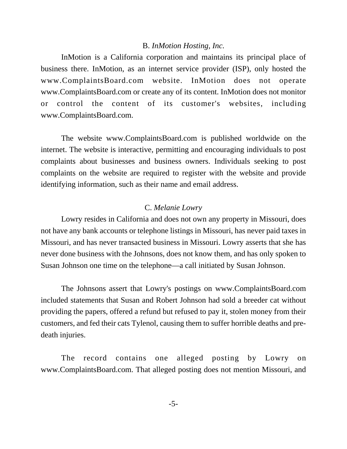### B. *InMotion Hosting, Inc.*

InMotion is a California corporation and maintains its principal place of business there. InMotion, as an internet service provider (ISP), only hosted the www.ComplaintsBoard.com website. InMotion does not operate www.ComplaintsBoard.com or create any of its content. InMotion does not monitor or control the content of its customer's websites, including www.ComplaintsBoard.com.

The website www.ComplaintsBoard.com is published worldwide on the internet. The website is interactive, permitting and encouraging individuals to post complaints about businesses and business owners. Individuals seeking to post complaints on the website are required to register with the website and provide identifying information, such as their name and email address.

### C. *Melanie Lowry*

Lowry resides in California and does not own any property in Missouri, does not have any bank accounts or telephone listings in Missouri, has never paid taxes in Missouri, and has never transacted business in Missouri. Lowry asserts that she has never done business with the Johnsons, does not know them, and has only spoken to Susan Johnson one time on the telephone—a call initiated by Susan Johnson.

The Johnsons assert that Lowry's postings on www.ComplaintsBoard.com included statements that Susan and Robert Johnson had sold a breeder cat without providing the papers, offered a refund but refused to pay it, stolen money from their customers, and fed their cats Tylenol, causing them to suffer horrible deaths and predeath injuries.

The record contains one alleged posting by Lowry on www.ComplaintsBoard.com. That alleged posting does not mention Missouri, and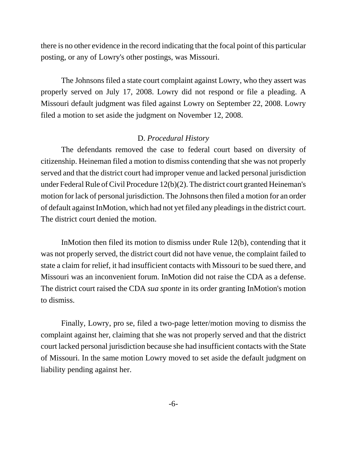there is no other evidence in the record indicating that the focal point of this particular posting, or any of Lowry's other postings, was Missouri.

The Johnsons filed a state court complaint against Lowry, who they assert was properly served on July 17, 2008. Lowry did not respond or file a pleading. A Missouri default judgment was filed against Lowry on September 22, 2008. Lowry filed a motion to set aside the judgment on November 12, 2008.

# D. *Procedural History*

The defendants removed the case to federal court based on diversity of citizenship. Heineman filed a motion to dismiss contending that she was not properly served and that the district court had improper venue and lacked personal jurisdiction under Federal Rule of Civil Procedure 12(b)(2). The district court granted Heineman's motion for lack of personal jurisdiction. The Johnsons then filed a motion for an order of default against InMotion, which had not yet filed any pleadings in the district court. The district court denied the motion.

InMotion then filed its motion to dismiss under Rule 12(b), contending that it was not properly served, the district court did not have venue, the complaint failed to state a claim for relief, it had insufficient contacts with Missouri to be sued there, and Missouri was an inconvenient forum. InMotion did not raise the CDA as a defense. The district court raised the CDA *sua sponte* in its order granting InMotion's motion to dismiss.

Finally, Lowry, pro se, filed a two-page letter/motion moving to dismiss the complaint against her, claiming that she was not properly served and that the district court lacked personal jurisdiction because she had insufficient contacts with the State of Missouri. In the same motion Lowry moved to set aside the default judgment on liability pending against her.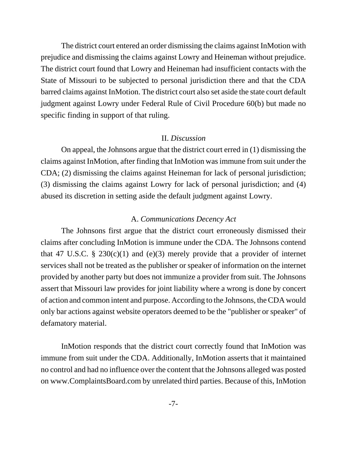The district court entered an order dismissing the claims against InMotion with prejudice and dismissing the claims against Lowry and Heineman without prejudice. The district court found that Lowry and Heineman had insufficient contacts with the State of Missouri to be subjected to personal jurisdiction there and that the CDA barred claims against InMotion. The district court also set aside the state court default judgment against Lowry under Federal Rule of Civil Procedure 60(b) but made no specific finding in support of that ruling.

## II. *Discussion*

On appeal, the Johnsons argue that the district court erred in (1) dismissing the claims against InMotion, after finding that InMotion was immune from suit under the CDA; (2) dismissing the claims against Heineman for lack of personal jurisdiction; (3) dismissing the claims against Lowry for lack of personal jurisdiction; and (4) abused its discretion in setting aside the default judgment against Lowry.

# A. *Communications Decency Act*

The Johnsons first argue that the district court erroneously dismissed their claims after concluding InMotion is immune under the CDA. The Johnsons contend that 47 U.S.C. § 230(c)(1) and (e)(3) merely provide that a provider of internet services shall not be treated as the publisher or speaker of information on the internet provided by another party but does not immunize a provider from suit. The Johnsons assert that Missouri law provides for joint liability where a wrong is done by concert of action and common intent and purpose. According to the Johnsons, the CDA would only bar actions against website operators deemed to be the "publisher or speaker" of defamatory material.

InMotion responds that the district court correctly found that InMotion was immune from suit under the CDA. Additionally, InMotion asserts that it maintained no control and had no influence over the content that the Johnsons alleged was posted on www.ComplaintsBoard.com by unrelated third parties. Because of this, InMotion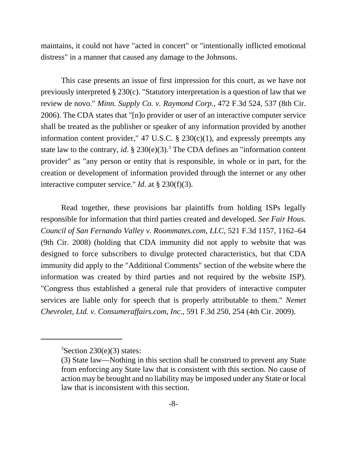maintains, it could not have "acted in concert" or "intentionally inflicted emotional distress" in a manner that caused any damage to the Johnsons.

This case presents an issue of first impression for this court, as we have not previously interpreted § 230(c). "Statutory interpretation is a question of law that we review de novo." *Minn. Supply Co. v. Raymond Corp.*, 472 F.3d 524, 537 (8th Cir. 2006). The CDA states that "[n]o provider or user of an interactive computer service shall be treated as the publisher or speaker of any information provided by another information content provider," 47 U.S.C.  $\S$  230(c)(1), and expressly preempts any state law to the contrary, *id*.  $\S 230(e)(3)$ .<sup>3</sup> The CDA defines an "information content provider" as "any person or entity that is responsible, in whole or in part, for the creation or development of information provided through the internet or any other interactive computer service." *Id*. at § 230(f)(3).

Read together, these provisions bar plaintiffs from holding ISPs legally responsible for information that third parties created and developed. *See Fair Hous. Council of San Fernando Valley v. Roommates.com, LLC*, 521 F.3d 1157, 1162–64 (9th Cir. 2008) (holding that CDA immunity did not apply to website that was designed to force subscribers to divulge protected characteristics, but that CDA immunity did apply to the "Additional Comments" section of the website where the information was created by third parties and not required by the website ISP). "Congress thus established a general rule that providers of interactive computer services are liable only for speech that is properly attributable to them." *Nemet Chevrolet, Ltd. v. Consumeraffairs.com, Inc.*, 591 F.3d 250, 254 (4th Cir. 2009).

 ${}^{3}$ Section 230(e)(3) states:

<sup>(3)</sup> State law—Nothing in this section shall be construed to prevent any State from enforcing any State law that is consistent with this section. No cause of action may be brought and no liability may be imposed under any State or local law that is inconsistent with this section.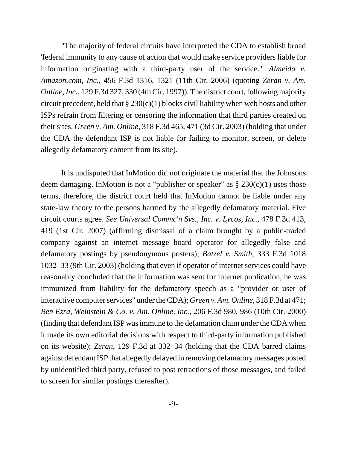"The majority of federal circuits have interpreted the CDA to establish broad 'federal immunity to any cause of action that would make service providers liable for information originating with a third-party user of the service.'" *Almeida v. Amazon.com, Inc.*, 456 F.3d 1316, 1321 (11th Cir. 2006) (quoting *Zeran v. Am. Online, Inc.*, 129 F.3d 327, 330 (4th Cir. 1997)). The district court, following majority circuit precedent, held that  $\S 230(c)(1)$  blocks civil liability when web hosts and other ISPs refrain from filtering or censoring the information that third parties created on their sites. *Green v. Am. Online*, 318 F.3d 465, 471 (3d Cir. 2003) (holding that under the CDA the defendant ISP is not liable for failing to monitor, screen, or delete allegedly defamatory content from its site).

It is undisputed that InMotion did not originate the material that the Johnsons deem damaging. In Motion is not a "publisher or speaker" as  $\S 230(c)(1)$  uses those terms, therefore, the district court held that InMotion cannot be liable under any state-law theory to the persons harmed by the allegedly defamatory material. Five circuit courts agree. *See Universal Commc'n Sys., Inc. v. Lycos, Inc.*, 478 F.3d 413, 419 (1st Cir. 2007) (affirming dismissal of a claim brought by a public-traded company against an internet message board operator for allegedly false and defamatory postings by pseudonymous posters); *Batzel v. Smith*, 333 F.3d 1018 1032–33 (9th Cir. 2003) (holding that even if operator of internet services could have reasonably concluded that the information was sent for internet publication, he was immunized from liability for the defamatory speech as a "provider or user of interactive computer services" under the CDA); *Green v. Am. Online*, 318 F.3d at 471; *Ben Ezra, Weinstein & Co. v. Am. Online, Inc.*, 206 F.3d 980, 986 (10th Cir. 2000) (finding that defendant ISP was immune to the defamation claim under the CDA when it made its own editorial decisions with respect to third-party information published on its website); *Zeran*, 129 F.3d at 332–34 (holding that the CDA barred claims against defendant ISP that allegedly delayed in removing defamatory messages posted by unidentified third party, refused to post retractions of those messages, and failed to screen for similar postings thereafter).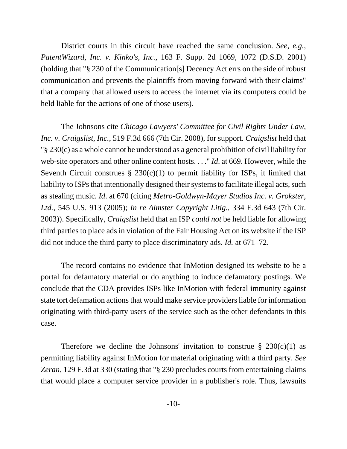District courts in this circuit have reached the same conclusion. *See, e.g.*, *PatentWizard, Inc. v. Kinko's, Inc.*, 163 F. Supp. 2d 1069, 1072 (D.S.D. 2001) (holding that "§ 230 of the Communication[s] Decency Act errs on the side of robust communication and prevents the plaintiffs from moving forward with their claims" that a company that allowed users to access the internet via its computers could be held liable for the actions of one of those users).

The Johnsons cite *Chicago Lawyers' Committee for Civil Rights Under Law, Inc. v. Craigslist, Inc.*, 519 F.3d 666 (7th Cir. 2008), for support. *Craigslist* held that "§ 230(c) as a whole cannot be understood as a general prohibition of civil liability for web-site operators and other online content hosts. . . ." *Id*. at 669. However, while the Seventh Circuit construes  $\S 230(c)(1)$  to permit liability for ISPs, it limited that liability to ISPs that intentionally designed their systems to facilitate illegal acts, such as stealing music. *Id*. at 670 (citing *Metro-Goldwyn-Mayer Studios Inc. v. Grokster, Ltd.*, 545 U.S. 913 (2005); *In re Aimster Copyright Litig.*, 334 F.3d 643 (7th Cir. 2003)). Specifically, *Craigslist* held that an ISP *could not* be held liable for allowing third parties to place ads in violation of the Fair Housing Act on its website if the ISP did not induce the third party to place discriminatory ads. *Id.* at 671–72.

The record contains no evidence that InMotion designed its website to be a portal for defamatory material or do anything to induce defamatory postings. We conclude that the CDA provides ISPs like InMotion with federal immunity against state tort defamation actions that would make service providers liable for information originating with third-party users of the service such as the other defendants in this case.

Therefore we decline the Johnsons' invitation to construe  $\S$  230(c)(1) as permitting liability against InMotion for material originating with a third party. *See Zeran*, 129 F.3d at 330 (stating that "§ 230 precludes courts from entertaining claims that would place a computer service provider in a publisher's role. Thus, lawsuits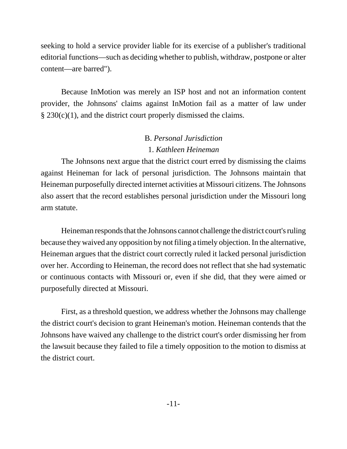seeking to hold a service provider liable for its exercise of a publisher's traditional editorial functions—such as deciding whether to publish, withdraw, postpone or alter content—are barred").

Because InMotion was merely an ISP host and not an information content provider, the Johnsons' claims against InMotion fail as a matter of law under  $\S 230(c)(1)$ , and the district court properly dismissed the claims.

# B. *Personal Jurisdiction* 1. *Kathleen Heineman*

The Johnsons next argue that the district court erred by dismissing the claims against Heineman for lack of personal jurisdiction. The Johnsons maintain that Heineman purposefully directed internet activities at Missouri citizens. The Johnsons also assert that the record establishes personal jurisdiction under the Missouri long arm statute.

Heineman responds that the Johnsons cannot challenge the district court's ruling because they waived any opposition by not filing a timely objection. In the alternative, Heineman argues that the district court correctly ruled it lacked personal jurisdiction over her. According to Heineman, the record does not reflect that she had systematic or continuous contacts with Missouri or, even if she did, that they were aimed or purposefully directed at Missouri.

First, as a threshold question, we address whether the Johnsons may challenge the district court's decision to grant Heineman's motion. Heineman contends that the Johnsons have waived any challenge to the district court's order dismissing her from the lawsuit because they failed to file a timely opposition to the motion to dismiss at the district court.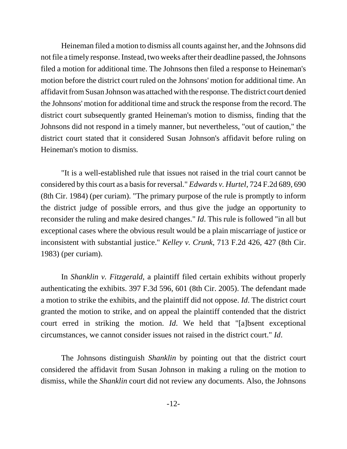Heineman filed a motion to dismiss all counts against her, and the Johnsons did not file a timely response. Instead, two weeks after their deadline passed, the Johnsons filed a motion for additional time. The Johnsons then filed a response to Heineman's motion before the district court ruled on the Johnsons' motion for additional time. An affidavit from Susan Johnson was attached with the response. The district court denied the Johnsons' motion for additional time and struck the response from the record. The district court subsequently granted Heineman's motion to dismiss, finding that the Johnsons did not respond in a timely manner, but nevertheless, "out of caution," the district court stated that it considered Susan Johnson's affidavit before ruling on Heineman's motion to dismiss.

"It is a well-established rule that issues not raised in the trial court cannot be considered by this court as a basis for reversal." *Edwards v. Hurtel*, 724 F.2d 689, 690 (8th Cir. 1984) (per curiam). "The primary purpose of the rule is promptly to inform the district judge of possible errors, and thus give the judge an opportunity to reconsider the ruling and make desired changes." *Id*. This rule is followed "in all but exceptional cases where the obvious result would be a plain miscarriage of justice or inconsistent with substantial justice." *Kelley v. Crunk*, 713 F.2d 426, 427 (8th Cir. 1983) (per curiam).

In *Shanklin v. Fitzgerald*, a plaintiff filed certain exhibits without properly authenticating the exhibits. 397 F.3d 596, 601 (8th Cir. 2005). The defendant made a motion to strike the exhibits, and the plaintiff did not oppose. *Id*. The district court granted the motion to strike, and on appeal the plaintiff contended that the district court erred in striking the motion. *Id*. We held that "[a]bsent exceptional circumstances, we cannot consider issues not raised in the district court." *Id*.

The Johnsons distinguish *Shanklin* by pointing out that the district court considered the affidavit from Susan Johnson in making a ruling on the motion to dismiss, while the *Shanklin* court did not review any documents. Also, the Johnsons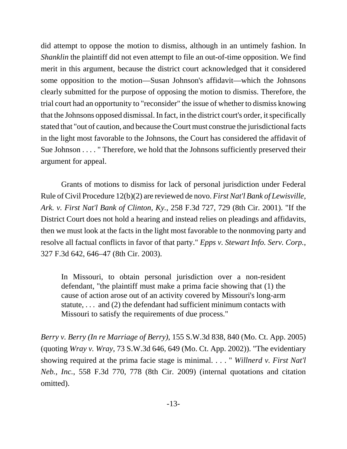did attempt to oppose the motion to dismiss, although in an untimely fashion. In *Shanklin* the plaintiff did not even attempt to file an out-of-time opposition. We find merit in this argument, because the district court acknowledged that it considered some opposition to the motion—Susan Johnson's affidavit—which the Johnsons clearly submitted for the purpose of opposing the motion to dismiss. Therefore, the trial court had an opportunity to "reconsider" the issue of whether to dismiss knowing that the Johnsons opposed dismissal. In fact, in the district court's order, it specifically stated that "out of caution, and because the Court must construe the jurisdictional facts in the light most favorable to the Johnsons, the Court has considered the affidavit of Sue Johnson . . . . " Therefore, we hold that the Johnsons sufficiently preserved their argument for appeal.

Grants of motions to dismiss for lack of personal jurisdiction under Federal Rule of Civil Procedure 12(b)(2) are reviewed de novo. *First Nat'l Bank of Lewisville, Ark. v. First Nat'l Bank of Clinton, Ky.*, 258 F.3d 727, 729 (8th Cir. 2001). "If the District Court does not hold a hearing and instead relies on pleadings and affidavits, then we must look at the facts in the light most favorable to the nonmoving party and resolve all factual conflicts in favor of that party." *Epps v. Stewart Info. Serv. Corp.*, 327 F.3d 642, 646–47 (8th Cir. 2003).

In Missouri, to obtain personal jurisdiction over a non-resident defendant, "the plaintiff must make a prima facie showing that (1) the cause of action arose out of an activity covered by Missouri's long-arm statute,  $\ldots$  and (2) the defendant had sufficient minimum contacts with Missouri to satisfy the requirements of due process."

*Berry v. Berry (In re Marriage of Berry)*, 155 S.W.3d 838, 840 (Mo. Ct. App. 2005) (quoting *Wray v. Wray*, 73 S.W.3d 646, 649 (Mo. Ct. App. 2002)). "The evidentiary showing required at the prima facie stage is minimal. . . . " *Willnerd v. First Nat'l Neb., Inc.*, 558 F.3d 770, 778 (8th Cir. 2009) (internal quotations and citation omitted).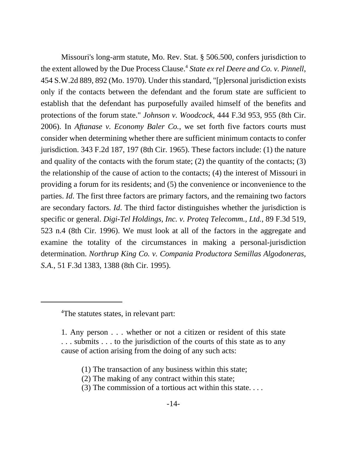Missouri's long-arm statute, Mo. Rev. Stat. § 506.500, confers jurisdiction to the extent allowed by the Due Process Clause.4 *State ex rel Deere and Co. v. Pinnell*, 454 S.W.2d 889, 892 (Mo. 1970). Under this standard, "[p]ersonal jurisdiction exists only if the contacts between the defendant and the forum state are sufficient to establish that the defendant has purposefully availed himself of the benefits and protections of the forum state." *Johnson v. Woodcock*, 444 F.3d 953, 955 (8th Cir. 2006). In *Aftanase v. Economy Baler Co.*, we set forth five factors courts must consider when determining whether there are sufficient minimum contacts to confer jurisdiction. 343 F.2d 187, 197 (8th Cir. 1965). These factors include: (1) the nature and quality of the contacts with the forum state; (2) the quantity of the contacts; (3) the relationship of the cause of action to the contacts; (4) the interest of Missouri in providing a forum for its residents; and (5) the convenience or inconvenience to the parties. *Id*. The first three factors are primary factors, and the remaining two factors are secondary factors. *Id*. The third factor distinguishes whether the jurisdiction is specific or general. *Digi-Tel Holdings, Inc. v. Proteq Telecomm., Ltd.*, 89 F.3d 519, 523 n.4 (8th Cir. 1996). We must look at all of the factors in the aggregate and examine the totality of the circumstances in making a personal-jurisdiction determination. *Northrup King Co. v. Compania Productora Semillas Algodoneras, S.A.*, 51 F.3d 1383, 1388 (8th Cir. 1995).

- (1) The transaction of any business within this state;
- (2) The making of any contract within this state;
- (3) The commission of a tortious act within this state. . . .

<sup>&</sup>lt;sup>4</sup>The statutes states, in relevant part:

<sup>1.</sup> Any person . . . whether or not a citizen or resident of this state . . . submits . . . to the jurisdiction of the courts of this state as to any cause of action arising from the doing of any such acts: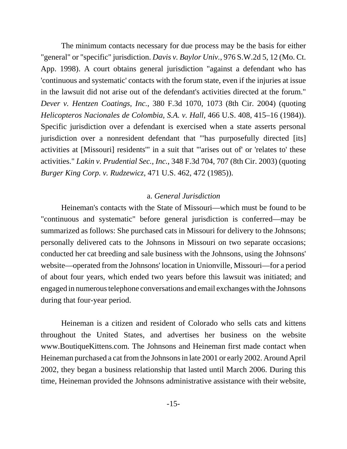The minimum contacts necessary for due process may be the basis for either "general" or "specific" jurisdiction. *Davis v. Baylor Univ.*, 976 S.W.2d 5, 12 (Mo. Ct. App. 1998). A court obtains general jurisdiction "against a defendant who has 'continuous and systematic' contacts with the forum state, even if the injuries at issue in the lawsuit did not arise out of the defendant's activities directed at the forum." *Dever v. Hentzen Coatings, Inc.*, 380 F.3d 1070, 1073 (8th Cir. 2004) (quoting *Helicopteros Nacionales de Colombia, S.A. v. Hall*, 466 U.S. 408, 415–16 (1984)). Specific jurisdiction over a defendant is exercised when a state asserts personal jurisdiction over a nonresident defendant that "'has purposefully directed [its] activities at [Missouri] residents'" in a suit that "'arises out of' or 'relates to' these activities." *Lakin v. Prudential Sec., Inc.*, 348 F.3d 704, 707 (8th Cir. 2003) (quoting *Burger King Corp. v. Rudzewicz*, 471 U.S. 462, 472 (1985)).

## a. *General Jurisdiction*

Heineman's contacts with the State of Missouri—which must be found to be "continuous and systematic" before general jurisdiction is conferred—may be summarized as follows: She purchased cats in Missouri for delivery to the Johnsons; personally delivered cats to the Johnsons in Missouri on two separate occasions; conducted her cat breeding and sale business with the Johnsons, using the Johnsons' website—operated from the Johnsons' location in Unionville, Missouri—for a period of about four years, which ended two years before this lawsuit was initiated; and engaged in numerous telephone conversations and email exchanges with the Johnsons during that four-year period.

Heineman is a citizen and resident of Colorado who sells cats and kittens throughout the United States, and advertises her business on the website www.BoutiqueKittens.com. The Johnsons and Heineman first made contact when Heineman purchased a cat from the Johnsons in late 2001 or early 2002. Around April 2002, they began a business relationship that lasted until March 2006. During this time, Heineman provided the Johnsons administrative assistance with their website,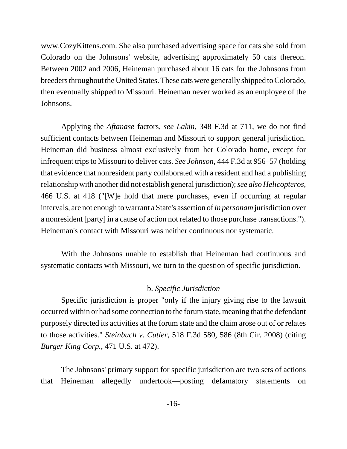www.CozyKittens.com. She also purchased advertising space for cats she sold from Colorado on the Johnsons' website, advertising approximately 50 cats thereon. Between 2002 and 2006, Heineman purchased about 16 cats for the Johnsons from breeders throughout the United States. These cats were generally shipped to Colorado, then eventually shipped to Missouri. Heineman never worked as an employee of the Johnsons.

Applying the *Aftanase* factors, *see Lakin*, 348 F.3d at 711, we do not find sufficient contacts between Heineman and Missouri to support general jurisdiction. Heineman did business almost exclusively from her Colorado home, except for infrequent trips to Missouri to deliver cats. *See Johnson*, 444 F.3d at 956–57 (holding that evidence that nonresident party collaborated with a resident and had a publishing relationship with another did not establish general jurisdiction); *see also Helicopteros*, 466 U.S. at 418 ("[W]e hold that mere purchases, even if occurring at regular intervals, are not enough to warrant a State's assertion of *in personam* jurisdiction over a nonresident [party] in a cause of action not related to those purchase transactions."). Heineman's contact with Missouri was neither continuous nor systematic.

With the Johnsons unable to establish that Heineman had continuous and systematic contacts with Missouri, we turn to the question of specific jurisdiction.

## b. *Specific Jurisdiction*

Specific jurisdiction is proper "only if the injury giving rise to the lawsuit occurred within or had some connection to the forum state, meaning that the defendant purposely directed its activities at the forum state and the claim arose out of or relates to those activities." *Steinbuch v. Cutler*, 518 F.3d 580, 586 (8th Cir. 2008) (citing *Burger King Corp.*, 471 U.S. at 472).

The Johnsons' primary support for specific jurisdiction are two sets of actions that Heineman allegedly undertook—posting defamatory statements on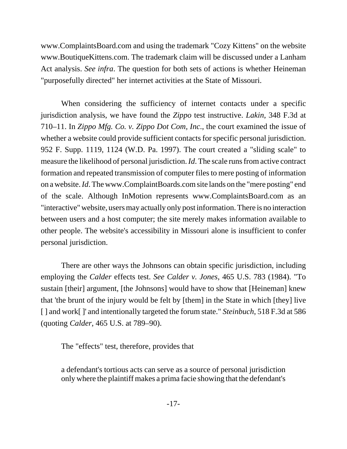www.ComplaintsBoard.com and using the trademark "Cozy Kittens" on the website www.BoutiqueKittens.com. The trademark claim will be discussed under a Lanham Act analysis. *See infra*. The question for both sets of actions is whether Heineman "purposefully directed" her internet activities at the State of Missouri.

When considering the sufficiency of internet contacts under a specific jurisdiction analysis, we have found the *Zippo* test instructive. *Lakin*, 348 F.3d at 710–11. In *Zippo Mfg. Co. v. Zippo Dot Com, Inc*., the court examined the issue of whether a website could provide sufficient contacts for specific personal jurisdiction. 952 F. Supp. 1119, 1124 (W.D. Pa. 1997). The court created a "sliding scale" to measure the likelihood of personal jurisdiction. *Id*. The scale runs from active contract formation and repeated transmission of computer files to mere posting of information on a website. *Id*. The www.ComplaintBoards.com site lands on the "mere posting" end of the scale. Although InMotion represents www.ComplaintsBoard.com as an "interactive" website, users may actually only post information. There is no interaction between users and a host computer; the site merely makes information available to other people. The website's accessibility in Missouri alone is insufficient to confer personal jurisdiction.

There are other ways the Johnsons can obtain specific jurisdiction, including employing the *Calder* effects test. *See Calder v. Jones*, 465 U.S. 783 (1984). "To sustain [their] argument, [the Johnsons] would have to show that [Heineman] knew that 'the brunt of the injury would be felt by [them] in the State in which [they] live [ ] and work[ ]' and intentionally targeted the forum state." *Steinbuch*, 518 F.3d at 586 (quoting *Calder*, 465 U.S. at 789–90).

The "effects" test, therefore, provides that

a defendant's tortious acts can serve as a source of personal jurisdiction only where the plaintiff makes a prima facie showing that the defendant's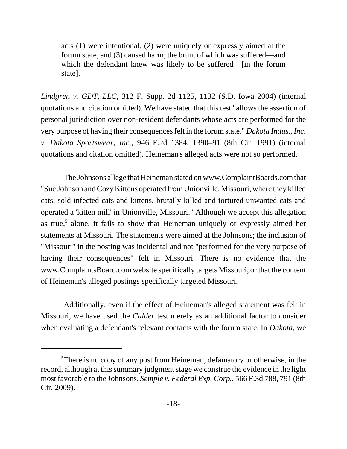acts (1) were intentional, (2) were uniquely or expressly aimed at the forum state, and (3) caused harm, the brunt of which was suffered—and which the defendant knew was likely to be suffered—[in the forum state].

*Lindgren v. GDT, LLC*, 312 F. Supp. 2d 1125, 1132 (S.D. Iowa 2004) (internal quotations and citation omitted). We have stated that this test "allows the assertion of personal jurisdiction over non-resident defendants whose acts are performed for the very purpose of having their consequences felt in the forum state." *Dakota Indus., Inc. v. Dakota Sportswear, Inc.*, 946 F.2d 1384, 1390–91 (8th Cir. 1991) (internal quotations and citation omitted). Heineman's alleged acts were not so performed.

The Johnsons allege that Heineman stated on www.ComplaintBoards.com that "Sue Johnson and Cozy Kittens operated from Unionville, Missouri, where they killed cats, sold infected cats and kittens, brutally killed and tortured unwanted cats and operated a 'kitten mill' in Unionville, Missouri." Although we accept this allegation as true,<sup>5</sup> alone, it fails to show that Heineman uniquely or expressly aimed her statements at Missouri. The statements were aimed at the Johnsons; the inclusion of "Missouri" in the posting was incidental and not "performed for the very purpose of having their consequences" felt in Missouri. There is no evidence that the www.ComplaintsBoard.com website specifically targets Missouri, or that the content of Heineman's alleged postings specifically targeted Missouri.

Additionally, even if the effect of Heineman's alleged statement was felt in Missouri, we have used the *Calder* test merely as an additional factor to consider when evaluating a defendant's relevant contacts with the forum state. In *Dakota*, we

<sup>&</sup>lt;sup>5</sup>There is no copy of any post from Heineman, defamatory or otherwise, in the record, although at this summary judgment stage we construe the evidence in the light most favorable to the Johnsons. *Semple v. Federal Exp. Corp.*, 566 F.3d 788, 791 (8th Cir. 2009).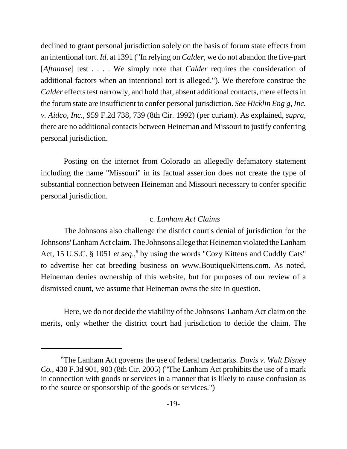declined to grant personal jurisdiction solely on the basis of forum state effects from an intentional tort. *Id*. at 1391 ("In relying on *Calder*, we do not abandon the five-part [*Aftanase*] test . . . . We simply note that *Calder* requires the consideration of additional factors when an intentional tort is alleged."). We therefore construe the *Calder* effects test narrowly, and hold that, absent additional contacts, mere effects in the forum state are insufficient to confer personal jurisdiction. *See Hicklin Eng'g, Inc. v. Aidco, Inc.*, 959 F.2d 738, 739 (8th Cir. 1992) (per curiam). As explained, *supra*, there are no additional contacts between Heineman and Missouri to justify conferring personal jurisdiction.

Posting on the internet from Colorado an allegedly defamatory statement including the name "Missouri" in its factual assertion does not create the type of substantial connection between Heineman and Missouri necessary to confer specific personal jurisdiction.

# c. *Lanham Act Claims*

The Johnsons also challenge the district court's denial of jurisdiction for the Johnsons' Lanham Act claim. The Johnsons allege that Heineman violated the Lanham Act, 15 U.S.C. § 1051 et seq.,<sup>6</sup> by using the words "Cozy Kittens and Cuddly Cats" to advertise her cat breeding business on www.BoutiqueKittens.com. As noted, Heineman denies ownership of this website, but for purposes of our review of a dismissed count, we assume that Heineman owns the site in question.

Here, we do not decide the viability of the Johnsons' Lanham Act claim on the merits, only whether the district court had jurisdiction to decide the claim. The

<sup>6</sup> The Lanham Act governs the use of federal trademarks. *Davis v. Walt Disney Co.*, 430 F.3d 901, 903 (8th Cir. 2005) ("The Lanham Act prohibits the use of a mark in connection with goods or services in a manner that is likely to cause confusion as to the source or sponsorship of the goods or services.")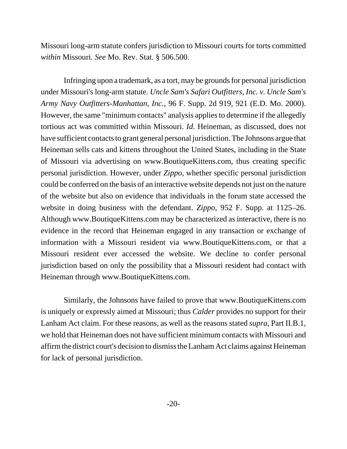Missouri long-arm statute confers jurisdiction to Missouri courts for torts committed *within* Missouri*. See* Mo. Rev. Stat. § 506.500.

Infringing upon a trademark, as a tort, may be grounds for personal jurisdiction under Missouri's long-arm statute. *Uncle Sam's Safari Outfitters, Inc. v. Uncle Sam's Army Navy Outfitters-Manhattan, Inc.*, 96 F. Supp. 2d 919, 921 (E.D. Mo. 2000). However, the same "minimum contacts" analysis applies to determine if the allegedly tortious act was committed within Missouri. *Id*. Heineman, as discussed, does not have sufficient contacts to grant general personal jurisdiction. The Johnsons argue that Heineman sells cats and kittens throughout the United States, including in the State of Missouri via advertising on www.BoutiqueKittens.com, thus creating specific personal jurisdiction. However, under *Zippo*, whether specific personal jurisdiction could be conferred on the basis of an interactive website depends not just on the nature of the website but also on evidence that individuals in the forum state accessed the website in doing business with the defendant. *Zippo*, 952 F. Supp. at 1125–26. Although www.BoutiqueKittens.com may be characterized as interactive, there is no evidence in the record that Heineman engaged in any transaction or exchange of information with a Missouri resident via www.BoutiqueKittens.com, or that a Missouri resident ever accessed the website. We decline to confer personal jurisdiction based on only the possibility that a Missouri resident had contact with Heineman through www.BoutiqueKittens.com.

Similarly, the Johnsons have failed to prove that www.BoutiqueKittens.com is uniquely or expressly aimed at Missouri; thus *Calder* provides no support for their Lanham Act claim. For these reasons, as well as the reasons stated *supra*, Part II.B.1, we hold that Heineman does not have sufficient minimum contacts with Missouri and affirm the district court's decision to dismiss the Lanham Act claims against Heineman for lack of personal jurisdiction.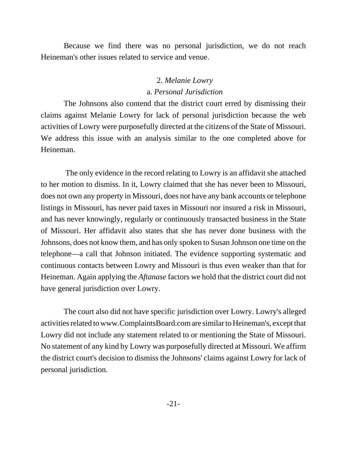Because we find there was no personal jurisdiction, we do not reach Heineman's other issues related to service and venue.

# 2. *Melanie Lowry* a. *Personal Jurisdiction*

The Johnsons also contend that the district court erred by dismissing their claims against Melanie Lowry for lack of personal jurisdiction because the web activities of Lowry were purposefully directed at the citizens of the State of Missouri. We address this issue with an analysis similar to the one completed above for Heineman.

 The only evidence in the record relating to Lowry is an affidavit she attached to her motion to dismiss. In it, Lowry claimed that she has never been to Missouri, does not own any property in Missouri, does not have any bank accounts or telephone listings in Missouri, has never paid taxes in Missouri nor insured a risk in Missouri, and has never knowingly, regularly or continuously transacted business in the State of Missouri. Her affidavit also states that she has never done business with the Johnsons, does not know them, and has only spoken to Susan Johnson one time on the telephone—a call that Johnson initiated. The evidence supporting systematic and continuous contacts between Lowry and Missouri is thus even weaker than that for Heineman. Again applying the *Aftanase* factors we hold that the district court did not have general jurisdiction over Lowry.

The court also did not have specific jurisdiction over Lowry. Lowry's alleged activities related to www.ComplaintsBoard.com are similar to Heineman's, except that Lowry did not include any statement related to or mentioning the State of Missouri. No statement of any kind by Lowry was purposefully directed at Missouri. We affirm the district court's decision to dismiss the Johnsons' claims against Lowry for lack of personal jurisdiction.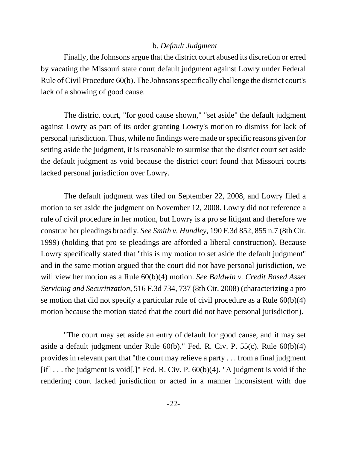# b. *Default Judgment*

Finally, the Johnsons argue that the district court abused its discretion or erred by vacating the Missouri state court default judgment against Lowry under Federal Rule of Civil Procedure 60(b). The Johnsons specifically challenge the district court's lack of a showing of good cause.

The district court, "for good cause shown," "set aside" the default judgment against Lowry as part of its order granting Lowry's motion to dismiss for lack of personal jurisdiction. Thus, while no findings were made or specific reasons given for setting aside the judgment, it is reasonable to surmise that the district court set aside the default judgment as void because the district court found that Missouri courts lacked personal jurisdiction over Lowry.

The default judgment was filed on September 22, 2008, and Lowry filed a motion to set aside the judgment on November 12, 2008. Lowry did not reference a rule of civil procedure in her motion, but Lowry is a pro se litigant and therefore we construe her pleadings broadly. *See Smith v. Hundley*, 190 F.3d 852, 855 n.7 (8th Cir. 1999) (holding that pro se pleadings are afforded a liberal construction). Because Lowry specifically stated that "this is my motion to set aside the default judgment" and in the same motion argued that the court did not have personal jurisdiction, we will view her motion as a Rule 60(b)(4) motion. *See Baldwin v. Credit Based Asset Servicing and Securitization*, 516 F.3d 734, 737 (8th Cir. 2008) (characterizing a pro se motion that did not specify a particular rule of civil procedure as a Rule 60(b)(4) motion because the motion stated that the court did not have personal jurisdiction).

"The court may set aside an entry of default for good cause, and it may set aside a default judgment under Rule 60(b)." Fed. R. Civ. P. 55(c). Rule 60(b)(4) provides in relevant part that "the court may relieve a party . . . from a final judgment [if] ... the judgment is void[.]" Fed. R. Civ. P.  $60(b)(4)$ . "A judgment is void if the rendering court lacked jurisdiction or acted in a manner inconsistent with due